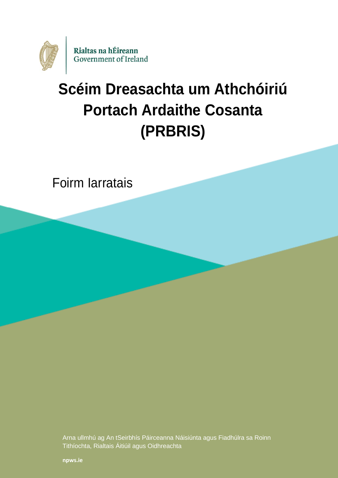

# **Scéim Dreasachta um Athchóiriú Portach Ardaithe Cosanta (PRBRIS)**

Foirm Iarratais

Arna ullmhú ag An tSeirbhís Páirceanna Náisiúnta agus Fiadhúlra sa Roinn Tithíochta, Rialtais Áitiúil agus Oidhreachta

**[npws.ie](https://www.npws.ie/)**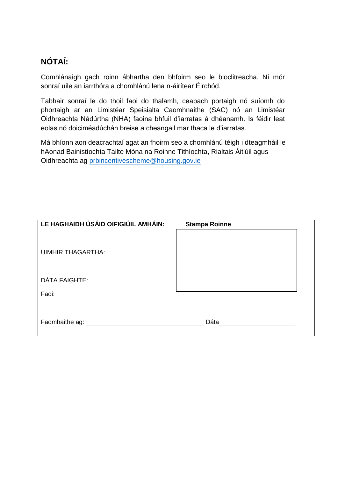## **NÓTAÍ:**

Comhlánaigh gach roinn ábhartha den bhfoirm seo le bloclitreacha. Ní mór sonraí uile an iarrthóra a chomhlánú lena n-áirítear Éirchód.

Tabhair sonraí le do thoil faoi do thalamh, ceapach portaigh nó suíomh do phortaigh ar an Limistéar Speisialta Caomhnaithe (SAC) nó an Limistéar Oidhreachta Nádúrtha (NHA) faoina bhfuil d'iarratas á dhéanamh. Is féidir leat eolas nó doiciméadúchán breise a cheangail mar thaca le d'iarratas.

Má bhíonn aon deacrachtaí agat an fhoirm seo a chomhlánú téigh i dteagmháil le hAonad Bainistíochta Tailte Móna na Roinne Tithíochta, Rialtais Áitiúil agus Oidhreachta ag [prbincentivescheme@housing.gov.ie](mailto:prbincentivescheme@housing.gov.ie)

| LE HAGHAIDH ÚSÁID OIFIGIÚIL AMHÁIN:                                                                                                                                                                                           | <b>Stampa Roinne</b> |  |
|-------------------------------------------------------------------------------------------------------------------------------------------------------------------------------------------------------------------------------|----------------------|--|
| <b>UIMHIR THAGARTHA:</b>                                                                                                                                                                                                      |                      |  |
| DÁTA FAIGHTE:                                                                                                                                                                                                                 |                      |  |
| Faoi: Faoi: Faoi: Faoi: Faoi: Faoi: Faoi: Faoi: Faoi: Faoi: Faoi: Faoi: Faoi: Faoi: Faoi: Faoi: Faoi: Faoi: Faoi: Faoi: Faoi: Faoi: Faoi: Faoi: Faoi: Faoi: Faoi: Faoi: Faoi: Faoi: Faoi: Faoi: Faoi: Faoi: Faoi: Faoi: Faoi: |                      |  |
|                                                                                                                                                                                                                               |                      |  |
| Faomhaithe ag: ________                                                                                                                                                                                                       | Dáta                 |  |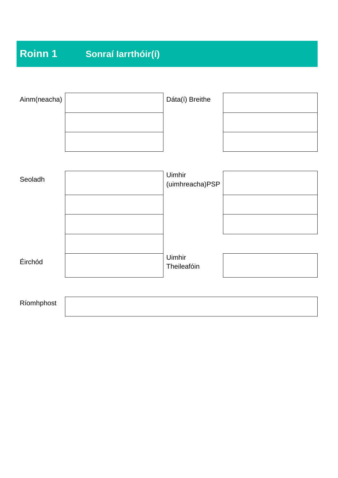## **Roinn 1 Sonraí Iarrthóir(í)**

| Ainm(neacha) | Dáta(í) Breithe           |  |
|--------------|---------------------------|--|
|              |                           |  |
| Seoladh      | Uimhir<br>(uimhreacha)PSP |  |
|              |                           |  |
|              | Uimhir                    |  |
| Éirchód      | Theileafóin               |  |
| Ríomhphost   |                           |  |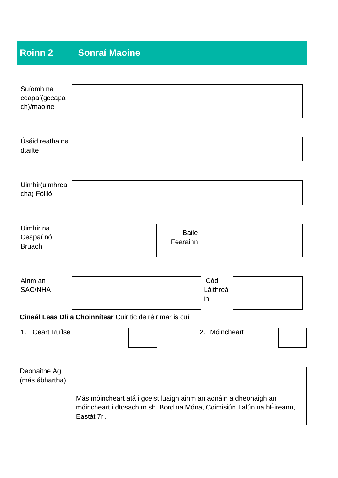## **Roinn 2 Sonraí Maoine**

| Suíomh na<br>ceapaí(gceapa<br>ch)/maoine |                                                                                                                                                          |                          |                       |  |
|------------------------------------------|----------------------------------------------------------------------------------------------------------------------------------------------------------|--------------------------|-----------------------|--|
| Úsáid reatha na<br>dtailte               |                                                                                                                                                          |                          |                       |  |
| Uimhir(uimhrea<br>cha) Fóilió            |                                                                                                                                                          |                          |                       |  |
| Uimhir na<br>Ceapaí nó<br><b>Bruach</b>  |                                                                                                                                                          | <b>Baile</b><br>Fearainn |                       |  |
| Ainm an<br><b>SAC/NHA</b>                |                                                                                                                                                          |                          | Cód<br>Láithreá<br>in |  |
|                                          | Cineál Leas Dlí a Choinnítear Cuir tic de réir mar is cuí                                                                                                |                          |                       |  |
| 1. Ceart Ruilse                          |                                                                                                                                                          |                          | 2. Móincheart         |  |
| Deonaithe Ag<br>(más ábhartha)           |                                                                                                                                                          |                          |                       |  |
|                                          | Más móincheart atá i gceist luaigh ainm an aonáin a dheonaigh an<br>móincheart i dtosach m.sh. Bord na Móna, Coimisiún Talún na hÉireann,<br>Eastát 7rl. |                          |                       |  |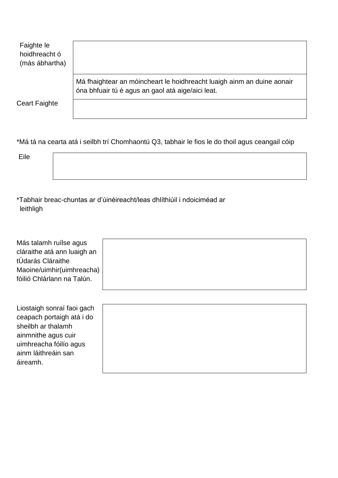| Faighte le<br>hoidhreacht ó<br>(más ábhartha) |                                                                                                                             |
|-----------------------------------------------|-----------------------------------------------------------------------------------------------------------------------------|
|                                               | Má fhaightear an móincheart le hoidhreacht luaigh ainm an duine aonair<br>óna bhfuair tú é agus an gaol atá aige/aici leat. |
| <b>Ceart Faighte</b>                          |                                                                                                                             |

\*Má tá na cearta atá i seilbh trí Chomhaontú Q3, tabhair le fios le do thoil agus ceangail cóip

Eile

\*Tabhair breac-chuntas ar d'úinéireacht/leas dhlíthiúil i ndoiciméad ar leithligh

Más talamh ruílse agus cláraithe atá ann luaigh an tÚdarás Cláraithe Maoine/uimhir(uimhreacha) fóilió Chlárlann na Talún.

Liostaigh sonraí faoi gach ceapach portaigh atá i do sheilbh ar thalamh ainmnithe agus cuir uimhreacha fóilío agus ainm láithreáin san áireamh.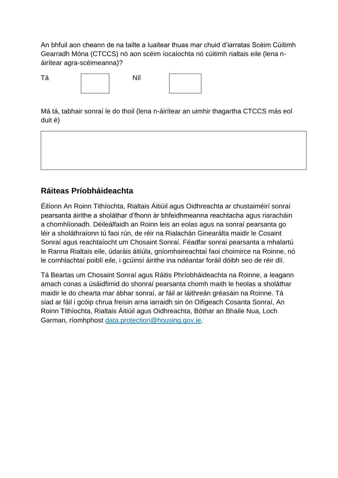An bhfuil aon cheann de na tailte a luaitear thuas mar chuid d'iarratas Scéim Cúitimh Gearradh Móna (CTCCS) nó aon scéim íocaíochta nó cúitimh rialtais eile (lena náirítear agra-scéimeanna)?



Má tá, tabhair sonraí le do thoil (lena n-áirítear an uimhir thagartha CTCCS más eol duit é)

### **Ráiteas Príobháideachta**

Éilíonn An Roinn Tithíochta, Rialtais Áitiúil agus Oidhreachta ar chustaiméirí sonraí pearsanta áirithe a sholáthar d'fhonn ár bhfeidhmeanna reachtacha agus riaracháin a chomhlíonadh. Déileálfaidh an Roinn leis an eolas agus na sonraí pearsanta go léir a sholáthraíonn tú faoi rún, de réir na Rialachán Ginearálta maidir le Cosaint Sonraí agus reachtaíocht um Chosaint Sonraí. Féadfar sonraí pearsanta a mhalartú le Ranna Rialtais eile, údaráis áitiúla, gníomhaireachtaí faoi choimirce na Roinne, nó le comhlachtaí poiblí eile, i gcúinsí áirithe ina ndéantar foráil dóibh seo de réir dlí.

Tá Beartas um Chosaint Sonraí agus Ráitis Phríobháideachta na Roinne, a leagann amach conas a úsáidfimid do shonraí pearsanta chomh maith le heolas a sholáthar maidir le do chearta mar ábhar sonraí, ar fáil ar láithreán gréasáin na Roinne. Tá siad ar fáil i gcóip chrua freisin arna iarraidh sin ón Oifigeach Cosanta Sonraí, An Roinn Tithíochta, Rialtais Áitiúil agus Oidhreachta, Bóthar an Bhaile Nua, Loch Garman, ríomhphost [data.protection@housing.gov.ie.](mailto:data.protection@housing.gov.ie)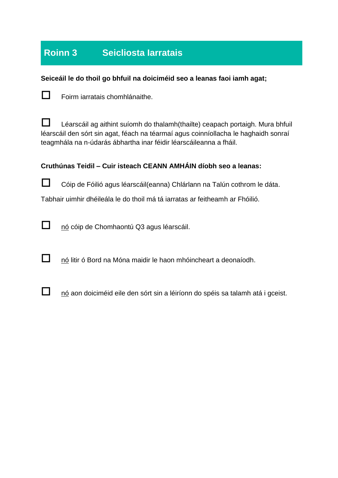## **Roinn 3 Seicliosta Iarratais**

#### **Seiceáil le do thoil go bhfuil na doiciméid seo a leanas faoi iamh agat;**



 $\Box$  Foirm iarratais chomhlánaithe.

Léarscáil ag aithint suíomh do thalamh(thailte) ceapach portaigh. Mura bhfuil léarscáil den sórt sin agat, féach na téarmaí agus coinníollacha le haghaidh sonraí teagmhála na n-údarás ábhartha inar féidir léarscáileanna a fháil.

#### **Cruthúnas Teidil – Cuir isteach CEANN AMHÁIN díobh seo a leanas:**



Cóip de Fóilió agus léarscáil(eanna) Chlárlann na Talún cothrom le dáta.

Tabhair uimhir dhéileála le do thoil má tá iarratas ar feitheamh ar Fhóilió.



 $\Box$  nó cóip de Chomhaontú Q3 agus léarscáil.

nó litir ó Bord na Móna maidir le haon mhóincheart a deonaíodh.



 $\Box$  nó aon doiciméid eile den sórt sin a léiríonn do spéis sa talamh atá i gceist.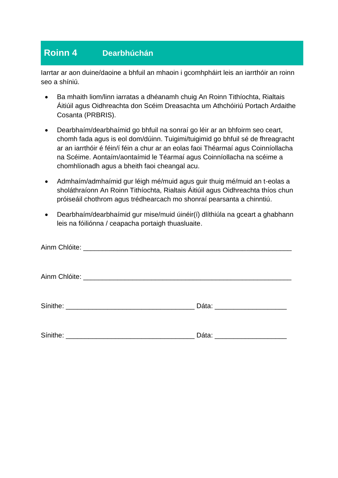## **Roinn 4 Dearbhúchán**

Iarrtar ar aon duine/daoine a bhfuil an mhaoin i gcomhpháirt leis an iarrthóir an roinn seo a shíniú.

- Ba mhaith liom/linn iarratas a dhéanamh chuig An Roinn Tithíochta, Rialtais Áitiúil agus Oidhreachta don Scéim Dreasachta um Athchóiriú Portach Ardaithe Cosanta (PRBRIS).
- Dearbhaím/dearbhaímid go bhfuil na sonraí go léir ar an bhfoirm seo ceart, chomh fada agus is eol dom/dúinn. Tuigimi/tuigimid go bhfuil sé de fhreagracht ar an iarrthóir é féin/í féin a chur ar an eolas faoi Théarmaí agus Coinníollacha na Scéime. Aontaím/aontaímid le Téarmaí agus Coinníollacha na scéime a chomhlíonadh agus a bheith faoi cheangal acu.
- Admhaím/admhaímid gur léigh mé/muid agus guir thuig mé/muid an t-eolas a sholáthraíonn An Roinn Tithíochta, Rialtais Áitiúil agus Oidhreachta thíos chun próiseáil chothrom agus trédhearcach mo shonraí pearsanta a chinntiú.
- Dearbhaím/dearbhaímid gur mise/muid úinéir(í) dlíthiúla na gceart a ghabhann leis na fóiliónna / ceapacha portaigh thuasluaite.

| Dáta: ________________________ |
|--------------------------------|
|                                |
| Dáta: _______________________  |
|                                |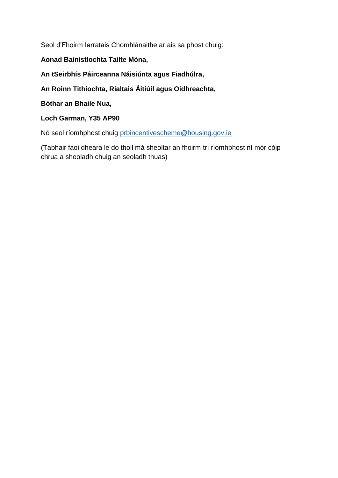Seol d'Fhoirm Iarratais Chomhlánaithe ar ais sa phost chuig:

#### **Aonad Bainistíochta Tailte Móna,**

**An tSeirbhís Páirceanna Náisiúnta agus Fiadhúlra,**

**An Roinn Tithíochta, Rialtais Áitiúil agus Oidhreachta,**

**Bóthar an Bhaile Nua,** 

**Loch Garman, Y35 AP90**

Nó seol ríomhphost chuig [prbincentivescheme@housing.gov.ie](mailto:prbincentivescheme@housing.gov.ie)

(Tabhair faoi dheara le do thoil má sheoltar an fhoirm trí ríomhphost ní mór cóip chrua a sheoladh chuig an seoladh thuas)